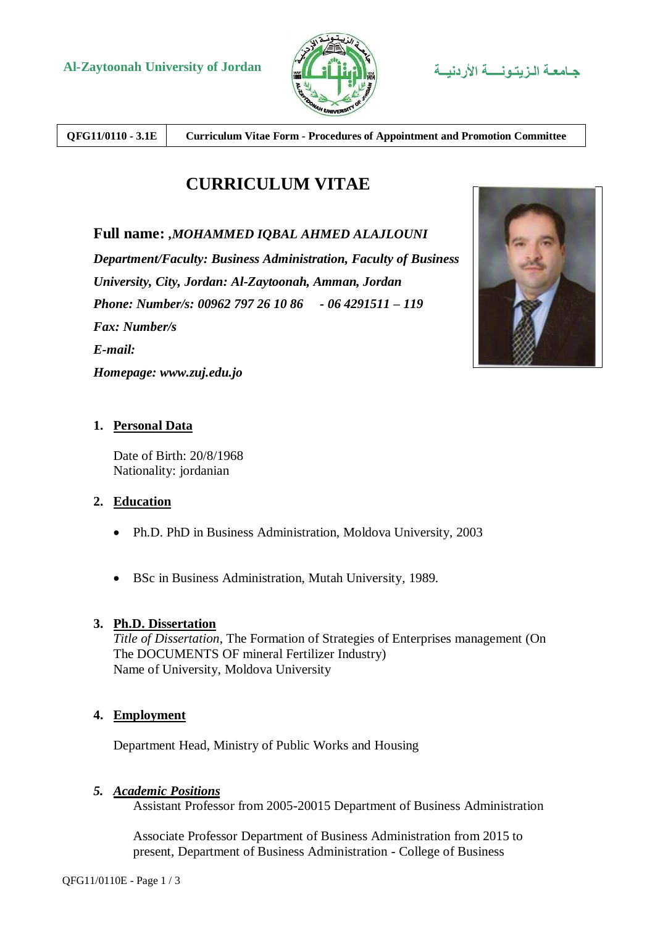

**QFG11/0110 - 3.1E Curriculum Vitae Form - Procedures of Appointment and Promotion Committee**

# **CURRICULUM VITAE**

# **Full name:** *,MOHAMMED IQBAL AHMED ALAJLOUNI*

*Department/Faculty: Business Administration, Faculty of Business University, City, Jordan: Al-Zaytoonah, Amman, Jordan Phone: Number/s: 00962 797 26 10 86 - 06 4291511 – 119 Fax: Number/s E-mail: Homepage: www.zuj.edu.jo*



# **1. Personal Data**

Date of Birth: 20/8/1968 Nationality: jordanian

## **2. Education**

- Ph.D. PhD in Business Administration, Moldova University, 2003
- BSc in Business Administration, Mutah University, 1989.

## **3. Ph.D. Dissertation**

*Title of Dissertation*, The Formation of Strategies of Enterprises management (On The DOCUMENTS OF mineral Fertilizer Industry) Name of University, Moldova University

## **4. Employment**

Department Head, Ministry of Public Works and Housing

## *5. Academic Positions*

Assistant Professor from 2005-20015 Department of Business Administration

Associate Professor Department of Business Administration from 2015 to present, Department of Business Administration - College of Business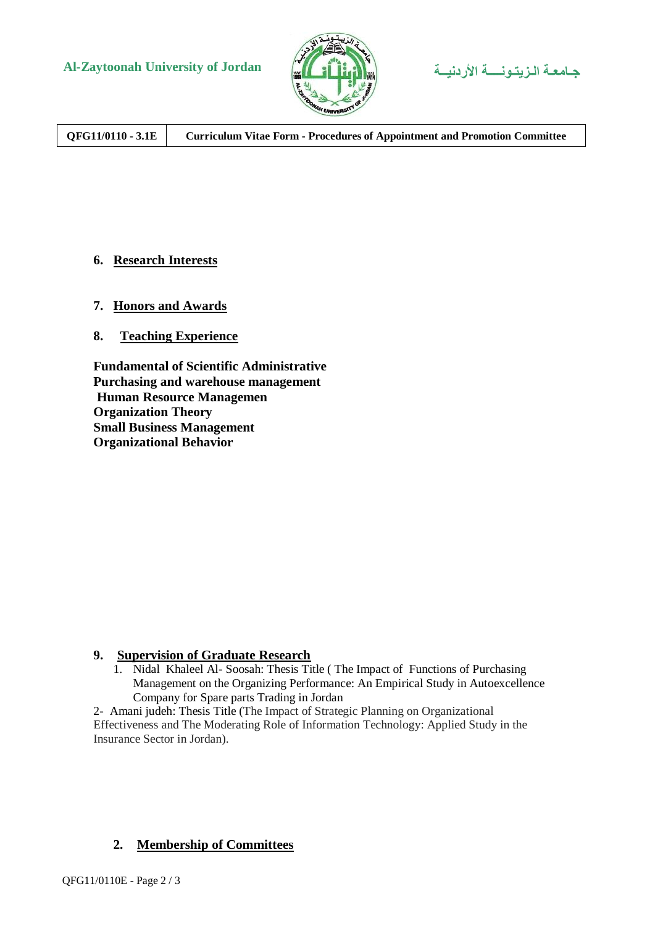



**QFG11/0110 - 3.1E Curriculum Vitae Form - Procedures of Appointment and Promotion Committee**

## **6. Research Interests**

- **7. Honors and Awards**
- **8. Teaching Experience**

**Fundamental of Scientific Administrative Purchasing and warehouse management Human Resource Managemen Organization Theory Small Business Management Organizational Behavior** 

#### **9. Supervision of Graduate Research**

1. Nidal Khaleel Al- Soosah: Thesis Title ( The Impact of Functions of Purchasing Management on the Organizing Performance: An Empirical Study in Autoexcellence Company for Spare parts Trading in Jordan

2- Amani judeh: Thesis Title (The Impact of Strategic Planning on Organizational Effectiveness and The Moderating Role of Information Technology: Applied Study in the Insurance Sector in Jordan).

## **2. Membership of Committees**